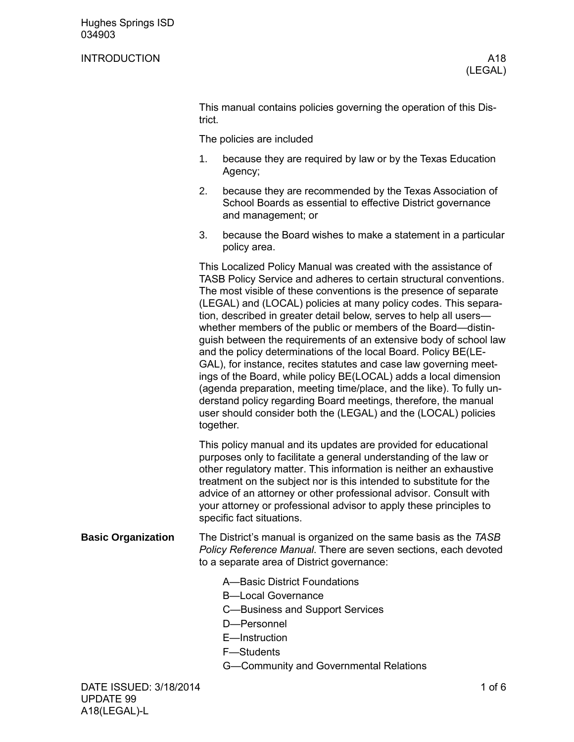## INTRODUCTION A18

This manual contains policies governing the operation of this District.

The policies are included

- 1. because they are required by law or by the Texas Education Agency;
- 2. because they are recommended by the Texas Association of School Boards as essential to effective District governance and management; or
- 3. because the Board wishes to make a statement in a particular policy area.

This Localized Policy Manual was created with the assistance of TASB Policy Service and adheres to certain structural conventions. The most visible of these conventions is the presence of separate (LEGAL) and (LOCAL) policies at many policy codes. This separation, described in greater detail below, serves to help all users whether members of the public or members of the Board—distinguish between the requirements of an extensive body of school law and the policy determinations of the local Board. Policy BE(LE-GAL), for instance, recites statutes and case law governing meetings of the Board, while policy BE(LOCAL) adds a local dimension (agenda preparation, meeting time/place, and the like). To fully understand policy regarding Board meetings, therefore, the manual user should consider both the (LEGAL) and the (LOCAL) policies together.

This policy manual and its updates are provided for educational purposes only to facilitate a general understanding of the law or other regulatory matter. This information is neither an exhaustive treatment on the subject nor is this intended to substitute for the advice of an attorney or other professional advisor. Consult with your attorney or professional advisor to apply these principles to specific fact situations.

- The District's manual is organized on the same basis as the *TASB Policy Reference Manual*. There are seven sections, each devoted to a separate area of District governance: **Basic Organization**
	- A—Basic District Foundations
	- B—Local Governance
	- C—Business and Support Services
	- D—Personnel
	- E—Instruction
	- F—Students
	- G—Community and Governmental Relations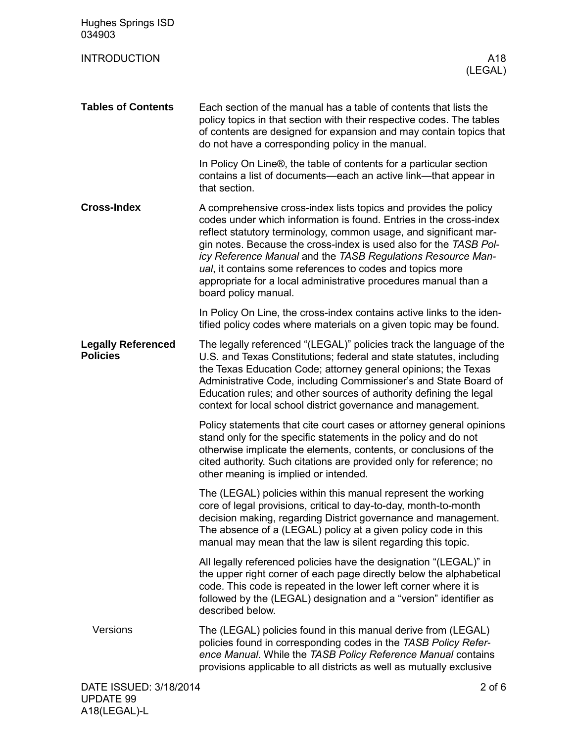| <b>Hughes Springs ISD</b><br>034903          |                                                                                                                                                                                                                                                                                                                                                                                                                                                                                                         |
|----------------------------------------------|---------------------------------------------------------------------------------------------------------------------------------------------------------------------------------------------------------------------------------------------------------------------------------------------------------------------------------------------------------------------------------------------------------------------------------------------------------------------------------------------------------|
| <b>INTRODUCTION</b>                          | A18<br>(LEGAL)                                                                                                                                                                                                                                                                                                                                                                                                                                                                                          |
| <b>Tables of Contents</b>                    | Each section of the manual has a table of contents that lists the<br>policy topics in that section with their respective codes. The tables<br>of contents are designed for expansion and may contain topics that<br>do not have a corresponding policy in the manual.                                                                                                                                                                                                                                   |
|                                              | In Policy On Line®, the table of contents for a particular section<br>contains a list of documents—each an active link—that appear in<br>that section.                                                                                                                                                                                                                                                                                                                                                  |
| <b>Cross-Index</b>                           | A comprehensive cross-index lists topics and provides the policy<br>codes under which information is found. Entries in the cross-index<br>reflect statutory terminology, common usage, and significant mar-<br>gin notes. Because the cross-index is used also for the TASB Pol-<br>icy Reference Manual and the TASB Regulations Resource Man-<br>ual, it contains some references to codes and topics more<br>appropriate for a local administrative procedures manual than a<br>board policy manual. |
|                                              | In Policy On Line, the cross-index contains active links to the iden-<br>tified policy codes where materials on a given topic may be found.                                                                                                                                                                                                                                                                                                                                                             |
| <b>Legally Referenced</b><br><b>Policies</b> | The legally referenced "(LEGAL)" policies track the language of the<br>U.S. and Texas Constitutions; federal and state statutes, including<br>the Texas Education Code; attorney general opinions; the Texas<br>Administrative Code, including Commissioner's and State Board of<br>Education rules; and other sources of authority defining the legal<br>context for local school district governance and management.                                                                                  |
|                                              | Policy statements that cite court cases or attorney general opinions<br>stand only for the specific statements in the policy and do not<br>otherwise implicate the elements, contents, or conclusions of the<br>cited authority. Such citations are provided only for reference; no<br>other meaning is implied or intended.                                                                                                                                                                            |
|                                              | The (LEGAL) policies within this manual represent the working<br>core of legal provisions, critical to day-to-day, month-to-month<br>decision making, regarding District governance and management.<br>The absence of a (LEGAL) policy at a given policy code in this<br>manual may mean that the law is silent regarding this topic.                                                                                                                                                                   |
|                                              | All legally referenced policies have the designation "(LEGAL)" in<br>the upper right corner of each page directly below the alphabetical<br>code. This code is repeated in the lower left corner where it is<br>followed by the (LEGAL) designation and a "version" identifier as<br>described below.                                                                                                                                                                                                   |
| Versions                                     | The (LEGAL) policies found in this manual derive from (LEGAL)<br>policies found in corresponding codes in the TASB Policy Refer-<br>ence Manual. While the TASB Policy Reference Manual contains<br>provisions applicable to all districts as well as mutually exclusive                                                                                                                                                                                                                                |
| DATE ISSUED: 3/18/2014<br><b>UPDATE 99</b>   | $2$ of $6$                                                                                                                                                                                                                                                                                                                                                                                                                                                                                              |

A18(LEGAL)-L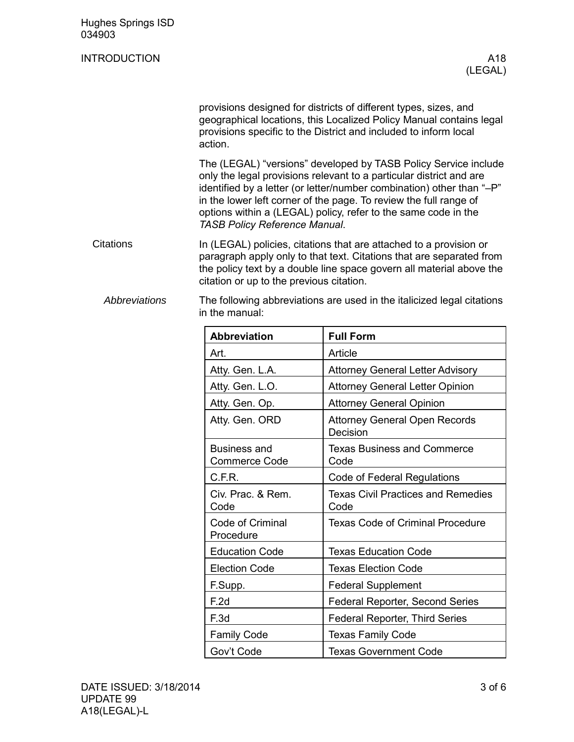| <b>Hughes Springs ISD</b><br>034903 |                                                                                                                                                                                                                                                                                                                                                                                                                                                                                                                                                                                                                          |                                                   |  |  |  |
|-------------------------------------|--------------------------------------------------------------------------------------------------------------------------------------------------------------------------------------------------------------------------------------------------------------------------------------------------------------------------------------------------------------------------------------------------------------------------------------------------------------------------------------------------------------------------------------------------------------------------------------------------------------------------|---------------------------------------------------|--|--|--|
| <b>INTRODUCTION</b>                 |                                                                                                                                                                                                                                                                                                                                                                                                                                                                                                                                                                                                                          | A18<br>(LEGAL)                                    |  |  |  |
|                                     | provisions designed for districts of different types, sizes, and<br>geographical locations, this Localized Policy Manual contains legal<br>provisions specific to the District and included to inform local<br>action.<br>The (LEGAL) "versions" developed by TASB Policy Service include<br>only the legal provisions relevant to a particular district and are<br>identified by a letter (or letter/number combination) other than "-P"<br>in the lower left corner of the page. To review the full range of<br>options within a (LEGAL) policy, refer to the same code in the<br><b>TASB Policy Reference Manual.</b> |                                                   |  |  |  |
|                                     |                                                                                                                                                                                                                                                                                                                                                                                                                                                                                                                                                                                                                          |                                                   |  |  |  |
| <b>Citations</b>                    | In (LEGAL) policies, citations that are attached to a provision or<br>paragraph apply only to that text. Citations that are separated from<br>the policy text by a double line space govern all material above the<br>citation or up to the previous citation.                                                                                                                                                                                                                                                                                                                                                           |                                                   |  |  |  |
| <b>Abbreviations</b>                | The following abbreviations are used in the italicized legal citations<br>in the manual:                                                                                                                                                                                                                                                                                                                                                                                                                                                                                                                                 |                                                   |  |  |  |
|                                     | <b>Abbreviation</b>                                                                                                                                                                                                                                                                                                                                                                                                                                                                                                                                                                                                      | <b>Full Form</b>                                  |  |  |  |
|                                     | Art.                                                                                                                                                                                                                                                                                                                                                                                                                                                                                                                                                                                                                     | Article                                           |  |  |  |
|                                     | Atty. Gen. L.A.                                                                                                                                                                                                                                                                                                                                                                                                                                                                                                                                                                                                          | <b>Attorney General Letter Advisory</b>           |  |  |  |
|                                     | Atty. Gen. L.O.                                                                                                                                                                                                                                                                                                                                                                                                                                                                                                                                                                                                          | <b>Attorney General Letter Opinion</b>            |  |  |  |
|                                     | Atty. Gen. Op.                                                                                                                                                                                                                                                                                                                                                                                                                                                                                                                                                                                                           | <b>Attorney General Opinion</b>                   |  |  |  |
|                                     | Atty. Gen. ORD                                                                                                                                                                                                                                                                                                                                                                                                                                                                                                                                                                                                           | <b>Attorney General Open Records</b><br>Decision  |  |  |  |
|                                     | <b>Business and</b><br><b>Commerce Code</b>                                                                                                                                                                                                                                                                                                                                                                                                                                                                                                                                                                              | <b>Texas Business and Commerce</b><br>Code        |  |  |  |
|                                     | C.F.R.                                                                                                                                                                                                                                                                                                                                                                                                                                                                                                                                                                                                                   | Code of Federal Regulations                       |  |  |  |
|                                     | Civ. Prac. & Rem.<br>Code                                                                                                                                                                                                                                                                                                                                                                                                                                                                                                                                                                                                | <b>Texas Civil Practices and Remedies</b><br>Code |  |  |  |
|                                     | Code of Criminal<br>Procedure                                                                                                                                                                                                                                                                                                                                                                                                                                                                                                                                                                                            | <b>Texas Code of Criminal Procedure</b>           |  |  |  |
|                                     | <b>Education Code</b>                                                                                                                                                                                                                                                                                                                                                                                                                                                                                                                                                                                                    | <b>Texas Education Code</b>                       |  |  |  |
|                                     | <b>Election Code</b>                                                                                                                                                                                                                                                                                                                                                                                                                                                                                                                                                                                                     | <b>Texas Election Code</b>                        |  |  |  |
|                                     | F.Supp.                                                                                                                                                                                                                                                                                                                                                                                                                                                                                                                                                                                                                  | <b>Federal Supplement</b>                         |  |  |  |
|                                     | F.2d                                                                                                                                                                                                                                                                                                                                                                                                                                                                                                                                                                                                                     | Federal Reporter, Second Series                   |  |  |  |
|                                     | F.3d                                                                                                                                                                                                                                                                                                                                                                                                                                                                                                                                                                                                                     | <b>Federal Reporter, Third Series</b>             |  |  |  |

Family Code **Texas Family Code** 

Gov't Code <u>Jeas Government Code</u>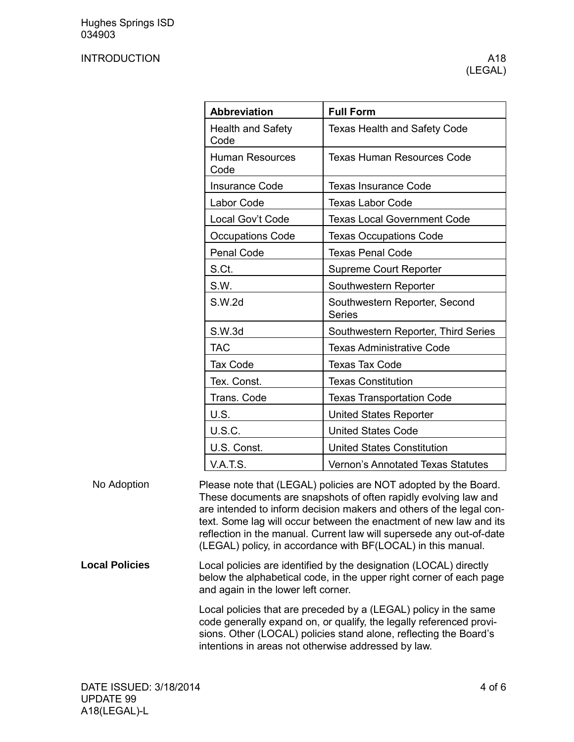## INTRODUCTION A18

| <b>Abbreviation</b>              | <b>Full Form</b>                               |
|----------------------------------|------------------------------------------------|
| <b>Health and Safety</b><br>Code | <b>Texas Health and Safety Code</b>            |
| <b>Human Resources</b><br>Code   | <b>Texas Human Resources Code</b>              |
| <b>Insurance Code</b>            | <b>Texas Insurance Code</b>                    |
| Labor Code                       | <b>Texas Labor Code</b>                        |
| Local Gov't Code                 | <b>Texas Local Government Code</b>             |
| <b>Occupations Code</b>          | <b>Texas Occupations Code</b>                  |
| Penal Code                       | <b>Texas Penal Code</b>                        |
| S.Ct.                            | <b>Supreme Court Reporter</b>                  |
| S.W.                             | Southwestern Reporter                          |
| S.W.2d                           | Southwestern Reporter, Second<br><b>Series</b> |
| S.W.3d                           | Southwestern Reporter, Third Series            |
| <b>TAC</b>                       | <b>Texas Administrative Code</b>               |
| <b>Tax Code</b>                  | <b>Texas Tax Code</b>                          |
| Tex. Const.                      | <b>Texas Constitution</b>                      |
| Trans. Code                      | <b>Texas Transportation Code</b>               |
| U.S.                             | <b>United States Reporter</b>                  |
| <b>U.S.C.</b>                    | <b>United States Code</b>                      |
| U.S. Const.                      | <b>United States Constitution</b>              |
| <b>V.A.T.S.</b>                  | <b>Vernon's Annotated Texas Statutes</b>       |

Please note that (LEGAL) policies are NOT adopted by the Board. These documents are snapshots of often rapidly evolving law and are intended to inform decision makers and others of the legal context. Some lag will occur between the enactment of new law and its reflection in the manual. Current law will supersede any out-of-date (LEGAL) policy, in accordance with BF(LOCAL) in this manual. No Adoption

Local policies are identified by the designation (LOCAL) directly below the alphabetical code, in the upper right corner of each page and again in the lower left corner. **Local Policies**

> Local policies that are preceded by a (LEGAL) policy in the same code generally expand on, or qualify, the legally referenced provisions. Other (LOCAL) policies stand alone, reflecting the Board's intentions in areas not otherwise addressed by law.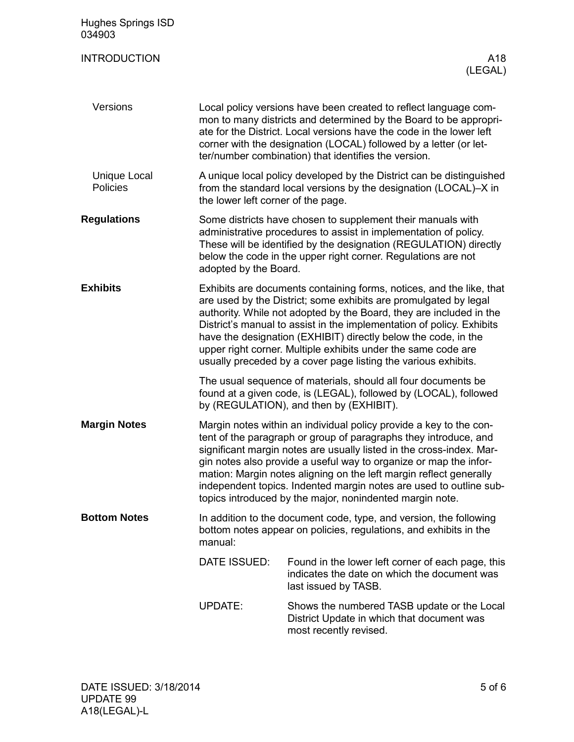| <b>Hughes Springs ISD</b><br>034903 |                                                                                                                                                                                                                                                                                                                                                                                                                                                                                               |                                                                                                                                                                                                                                                                       |  |  |
|-------------------------------------|-----------------------------------------------------------------------------------------------------------------------------------------------------------------------------------------------------------------------------------------------------------------------------------------------------------------------------------------------------------------------------------------------------------------------------------------------------------------------------------------------|-----------------------------------------------------------------------------------------------------------------------------------------------------------------------------------------------------------------------------------------------------------------------|--|--|
| <b>INTRODUCTION</b>                 |                                                                                                                                                                                                                                                                                                                                                                                                                                                                                               | A18<br>(LEGAL)                                                                                                                                                                                                                                                        |  |  |
| Versions                            | Local policy versions have been created to reflect language com-<br>mon to many districts and determined by the Board to be appropri-<br>ate for the District. Local versions have the code in the lower left<br>corner with the designation (LOCAL) followed by a letter (or let-<br>ter/number combination) that identifies the version.                                                                                                                                                    |                                                                                                                                                                                                                                                                       |  |  |
| <b>Unique Local</b><br>Policies     | A unique local policy developed by the District can be distinguished<br>from the standard local versions by the designation (LOCAL)-X in<br>the lower left corner of the page.                                                                                                                                                                                                                                                                                                                |                                                                                                                                                                                                                                                                       |  |  |
| <b>Regulations</b>                  | adopted by the Board.                                                                                                                                                                                                                                                                                                                                                                                                                                                                         | Some districts have chosen to supplement their manuals with<br>administrative procedures to assist in implementation of policy.<br>These will be identified by the designation (REGULATION) directly<br>below the code in the upper right corner. Regulations are not |  |  |
| <b>Exhibits</b>                     | Exhibits are documents containing forms, notices, and the like, that<br>are used by the District; some exhibits are promulgated by legal<br>authority. While not adopted by the Board, they are included in the<br>District's manual to assist in the implementation of policy. Exhibits<br>have the designation (EXHIBIT) directly below the code, in the<br>upper right corner. Multiple exhibits under the same code are<br>usually preceded by a cover page listing the various exhibits. |                                                                                                                                                                                                                                                                       |  |  |
|                                     |                                                                                                                                                                                                                                                                                                                                                                                                                                                                                               | The usual sequence of materials, should all four documents be<br>found at a given code, is (LEGAL), followed by (LOCAL), followed<br>by (REGULATION), and then by (EXHIBIT).                                                                                          |  |  |
| <b>Margin Notes</b>                 | Margin notes within an individual policy provide a key to the con-<br>tent of the paragraph or group of paragraphs they introduce, and<br>significant margin notes are usually listed in the cross-index. Mar-<br>gin notes also provide a useful way to organize or map the infor-<br>mation: Margin notes aligning on the left margin reflect generally<br>independent topics. Indented margin notes are used to outline sub-<br>topics introduced by the major, nonindented margin note.   |                                                                                                                                                                                                                                                                       |  |  |
| <b>Bottom Notes</b>                 | In addition to the document code, type, and version, the following<br>bottom notes appear on policies, regulations, and exhibits in the<br>manual:                                                                                                                                                                                                                                                                                                                                            |                                                                                                                                                                                                                                                                       |  |  |
|                                     | DATE ISSUED:                                                                                                                                                                                                                                                                                                                                                                                                                                                                                  | Found in the lower left corner of each page, this<br>indicates the date on which the document was<br>last issued by TASB.                                                                                                                                             |  |  |
|                                     | <b>UPDATE:</b>                                                                                                                                                                                                                                                                                                                                                                                                                                                                                | Shows the numbered TASB update or the Local<br>District Update in which that document was<br>most recently revised.                                                                                                                                                   |  |  |